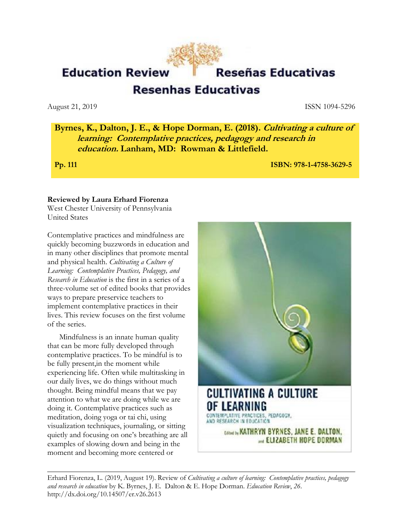**Education Review** 

# Reseñas Educativas

**Resenhas Educativas** 

August 21, 2019 **ISSN 1094-5296** 

**Byrnes, K., Dalton, J. E., & Hope Dorman, E. (2018). Cultivating a culture of learning: Contemplative practices, pedagogy and research in education. Lanham, MD: Rowman & Littlefield.** 

**Pp. 111 ISBN: 978-1-4758-3629-5** 

### **Reviewed by Laura Erhard Fiorenza**

West Chester University of Pennsylvania United States

Contemplative practices and mindfulness are quickly becoming buzzwords in education and in many other disciplines that promote mental and physical health. *Cultivating a Culture of Learning: Contemplative Practices, Pedagogy, and Research in Education* is the first in a series of a three-volume set of edited books that provides ways to prepare preservice teachers to implement contemplative practices in their lives. This review focuses on the first volume of the series.

Mindfulness is an innate human quality that can be more fully developed through contemplative practices. To be mindful is to be fully present,in the moment while experiencing life. Often while multitasking in our daily lives, we do things without much thought. Being mindful means that we pay attention to what we are doing while we are doing it. Contemplative practices such as meditation, doing yoga or tai chi, using visualization techniques, journaling, or sitting quietly and focusing on one's breathing are all examples of slowing down and being in the moment and becoming more centered or



Erhard Fiorenza, L. (2019, August 19). Review of *Cultivating a culture of learning: Contemplative practices, pedagogy and research in education* by K. Byrnes, J. E. Dalton & E. Hope Dorman. *Education Review*, *26*. http://dx.doi.org/10.14507/er.v26.2613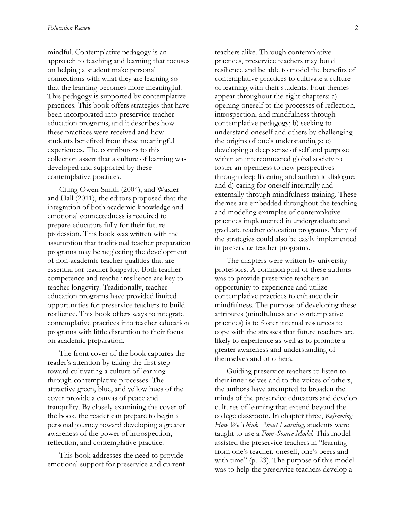mindful. Contemplative pedagogy is an approach to teaching and learning that focuses on helping a student make personal connections with what they are learning so that the learning becomes more meaningful. This pedagogy is supported by contemplative practices. This book offers strategies that have been incorporated into preservice teacher education programs, and it describes how these practices were received and how students benefited from these meaningful experiences. The contributors to this collection assert that a culture of learning was developed and supported by these contemplative practices.

Citing Owen-Smith (2004), and Waxler and Hall (2011), the editors proposed that the integration of both academic knowledge and emotional connectedness is required to prepare educators fully for their future profession. This book was written with the assumption that traditional teacher preparation programs may be neglecting the development of non-academic teacher qualities that are essential for teacher longevity. Both teacher competence and teacher resilience are key to teacher longevity. Traditionally, teacher education programs have provided limited opportunities for preservice teachers to build resilience. This book offers ways to integrate contemplative practices into teacher education programs with little disruption to their focus on academic preparation.

The front cover of the book captures the reader's attention by taking the first step toward cultivating a culture of learning through contemplative processes. The attractive green, blue, and yellow hues of the cover provide a canvas of peace and tranquility. By closely examining the cover of the book, the reader can prepare to begin a personal journey toward developing a greater awareness of the power of introspection, reflection, and contemplative practice.

This book addresses the need to provide emotional support for preservice and current teachers alike. Through contemplative practices, preservice teachers may build resilience and be able to model the benefits of contemplative practices to cultivate a culture of learning with their students. Four themes appear throughout the eight chapters: a) opening oneself to the processes of reflection, introspection, and mindfulness through contemplative pedagogy; b) seeking to understand oneself and others by challenging the origins of one's understandings; c) developing a deep sense of self and purpose within an interconnected global society to foster an openness to new perspectives through deep listening and authentic dialogue; and d) caring for oneself internally and externally through mindfulness training. These themes are embedded throughout the teaching and modeling examples of contemplative practices implemented in undergraduate and graduate teacher education programs. Many of the strategies could also be easily implemented in preservice teacher programs.

The chapters were written by university professors. A common goal of these authors was to provide preservice teachers an opportunity to experience and utilize contemplative practices to enhance their mindfulness. The purpose of developing these attributes (mindfulness and contemplative practices) is to foster internal resources to cope with the stresses that future teachers are likely to experience as well as to promote a greater awareness and understanding of themselves and of others.

Guiding preservice teachers to listen to their inner-selves and to the voices of others, the authors have attempted to broaden the minds of the preservice educators and develop cultures of learning that extend beyond the college classroom. In chapter three, *Reframing How We Think About Learning,* students were taught to use a *Four-Source Model.* This model assisted the preservice teachers in "learning from one's teacher, oneself, one's peers and with time" (p. 23). The purpose of this model was to help the preservice teachers develop a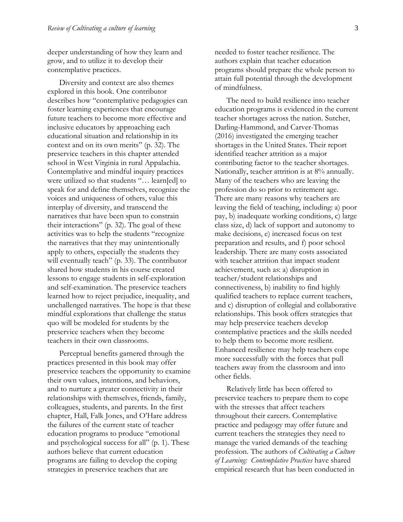deeper understanding of how they learn and grow, and to utilize it to develop their contemplative practices.

Diversity and context are also themes explored in this book. One contributor describes how "contemplative pedagogies can foster learning experiences that encourage future teachers to become more effective and inclusive educators by approaching each educational situation and relationship in its context and on its own merits" (p. 32). The preservice teachers in this chapter attended school in West Virginia in rural Appalachia. Contemplative and mindful inquiry practices were utilized so that students "… learn[ed] to speak for and define themselves, recognize the voices and uniqueness of others, value this interplay of diversity, and transcend the narratives that have been spun to constrain their interactions" (p. 32). The goal of these activities was to help the students "recognize the narratives that they may unintentionally apply to others, especially the students they will eventually teach" (p. 33). The contributor shared how students in his course created lessons to engage students in self-exploration and self-examination. The preservice teachers learned how to reject prejudice, inequality, and unchallenged narratives. The hope is that these mindful explorations that challenge the status quo will be modeled for students by the preservice teachers when they become teachers in their own classrooms.

Perceptual benefits garnered through the practices presented in this book may offer preservice teachers the opportunity to examine their own values, intentions, and behaviors, and to nurture a greater connectivity in their relationships with themselves, friends, family, colleagues, students, and parents. In the first chapter, Hall, Falk Jones, and O'Hare address the failures of the current state of teacher education programs to produce "emotional and psychological success for all" (p. 1). These authors believe that current education programs are failing to develop the coping strategies in preservice teachers that are

needed to foster teacher resilience. The authors explain that teacher education programs should prepare the whole person to attain full potential through the development of mindfulness.

The need to build resilience into teacher education programs is evidenced in the current teacher shortages across the nation. Sutcher, Darling-Hammond, and Carver-Thomas (2016) investigated the emerging teacher shortages in the United States. Their report identified teacher attrition as a major contributing factor to the teacher shortages. Nationally, teacher attrition is at 8% annually. Many of the teachers who are leaving the profession do so prior to retirement age. There are many reasons why teachers are leaving the field of teaching, including: a) poor pay, b) inadequate working conditions, c) large class size, d) lack of support and autonomy to make decisions, e) increased focus on test preparation and results, and f) poor school leadership. There are many costs associated with teacher attrition that impact student achievement, such as: a) disruption in teacher/student relationships and connectiveness, b) inability to find highly qualified teachers to replace current teachers, and c) disruption of collegial and collaborative relationships. This book offers strategies that may help preservice teachers develop contemplative practices and the skills needed to help them to become more resilient. Enhanced resilience may help teachers cope more successfully with the forces that pull teachers away from the classroom and into other fields.

Relatively little has been offered to preservice teachers to prepare them to cope with the stresses that affect teachers throughout their careers. Contemplative practice and pedagogy may offer future and current teachers the strategies they need to manage the varied demands of the teaching profession. The authors of *Cultivating a Culture of Learning: Contemplative Practices* have shared empirical research that has been conducted in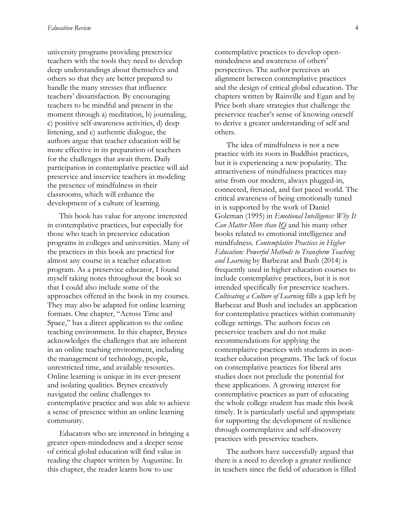university programs providing preservice teachers with the tools they need to develop deep understandings about themselves and others so that they are better prepared to handle the many stresses that influence teachers' dissatisfaction. By encouraging teachers to be mindful and present in the moment through a) meditation, b) journaling, c) positive self-awareness activities, d) deep listening, and e) authentic dialogue, the authors argue that teacher education will be more effective in its preparation of teachers for the challenges that await them. Daily participation in contemplative practice will aid preservice and inservice teachers in modeling the presence of mindfulness in their classrooms, which will enhance the development of a culture of learning.

This book has value for anyone interested in contemplative practices, but especially for those who teach in preservice education programs in colleges and universities. Many of the practices in this book are practical for almost any course in a teacher education program. As a preservice educator, I found myself taking notes throughout the book so that I could also include some of the approaches offered in the book in my courses. They may also be adapted for online learning formats. One chapter, "Across Time and Space," has a direct application to the online teaching environment. In this chapter, Brynes acknowledges the challenges that are inherent in an online teaching environment, including the management of technology, people, unrestricted time, and available resources. Online learning is unique in its ever-present and isolating qualities. Brynes creatively navigated the online challenges to contemplative practice and was able to achieve a sense of presence within an online learning community.

Educators who are interested in bringing a greater open-mindedness and a deeper sense of critical global education will find value in reading the chapter written by Augustine. In this chapter, the reader learns how to use

contemplative practices to develop openmindedness and awareness of others' perspectives. The author perceives an alignment between contemplative practices and the design of critical global education. The chapters written by Rainville and Egan and by Price both share strategies that challenge the preservice teacher's sense of knowing oneself to derive a greater understanding of self and others.

The idea of mindfulness is not a new practice with its roots in Buddhist practices, but it is experiencing a new popularity. The attractiveness of mindfulness practices may arise from our modern, always plugged-in, connected, frenzied, and fast paced world. The critical awareness of being emotionally tuned in is supported by the work of Daniel Goleman (1995) in *Emotional Intelligence: Why It Can Matter More than IQ* and his many other books related to emotional intelligence and mindfulness. *Contemplative Practices in Higher Education: Powerful Methods to Transform Teaching and Learning* by Barbezat and Bush (2014) is frequently used in higher education courses to include contemplative practices, but it is not intended specifically for preservice teachers. *Cultivating a Culture of Learning* fills a gap left by Barbezat and Bush and includes an application for contemplative practices within community college settings. The authors focus on preservice teachers and do not make recommendations for applying the contemplative practices with students in nonteacher education programs. The lack of focus on contemplative practices for liberal arts studies does not preclude the potential for these applications. A growing interest for contemplative practices as part of educating the whole college student has made this book timely. It is particularly useful and appropriate for supporting the development of resilience through contemplative and self-discovery practices with preservice teachers.

The authors have successfully argued that there is a need to develop a greater resilience in teachers since the field of education is filled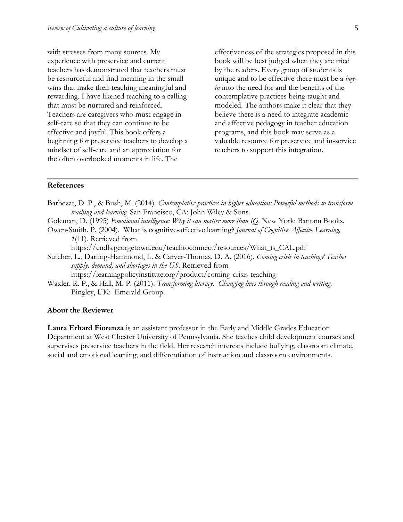with stresses from many sources. My experience with preservice and current teachers has demonstrated that teachers must be resourceful and find meaning in the small wins that make their teaching meaningful and rewarding. I have likened teaching to a calling that must be nurtured and reinforced. Teachers are caregivers who must engage in self-care so that they can continue to be effective and joyful. This book offers a beginning for preservice teachers to develop a mindset of self-care and an appreciation for the often overlooked moments in life. The

effectiveness of the strategies proposed in this book will be best judged when they are tried by the readers. Every group of students is unique and to be effective there must be a *buyin* into the need for and the benefits of the contemplative practices being taught and modeled. The authors make it clear that they believe there is a need to integrate academic and affective pedagogy in teacher education programs, and this book may serve as a valuable resource for preservice and in-service teachers to support this integration.

#### **References**

- Barbezat, D. P., & Bush, M. (2014). *Contemplative practices in higher education: Powerful methods to transform teaching and learning*. San Francisco, CA: John Wiley & Sons.
- Goleman, D. (1995) *Emotional intelligence: Why it can matter more than IQ.* New York: Bantam Books*.*
- Owen-Smith. P. (2004). What is cognitive-affective learning? *Journal of Cognitive Affective Learning, 1*(11). Retrieved from

https://cndls.georgetown.edu/teachtoconnect/resources/What\_is\_CAL.pdf

Sutcher, L., Darling-Hammond, L. & Carver-Thomas, D. A. (2016). *Coming crisis in teaching? Teacher supply, demand, and shortages in the US*. Retrieved from

<https://learningpolicyinstitute.org/product/coming-crisis-teaching>

Waxler, R. P., & Hall, M. P. (2011). *Transforming literacy: Changing lives through reading and writing.*  Bingley, UK: Emerald Group.

#### **About the Reviewer**

**Laura Erhard Fiorenza** is an assistant professor in the Early and Middle Grades Education Department at West Chester University of Pennsylvania. She teaches child development courses and supervises preservice teachers in the field. Her research interests include bullying, classroom climate, social and emotional learning, and differentiation of instruction and classroom environments.